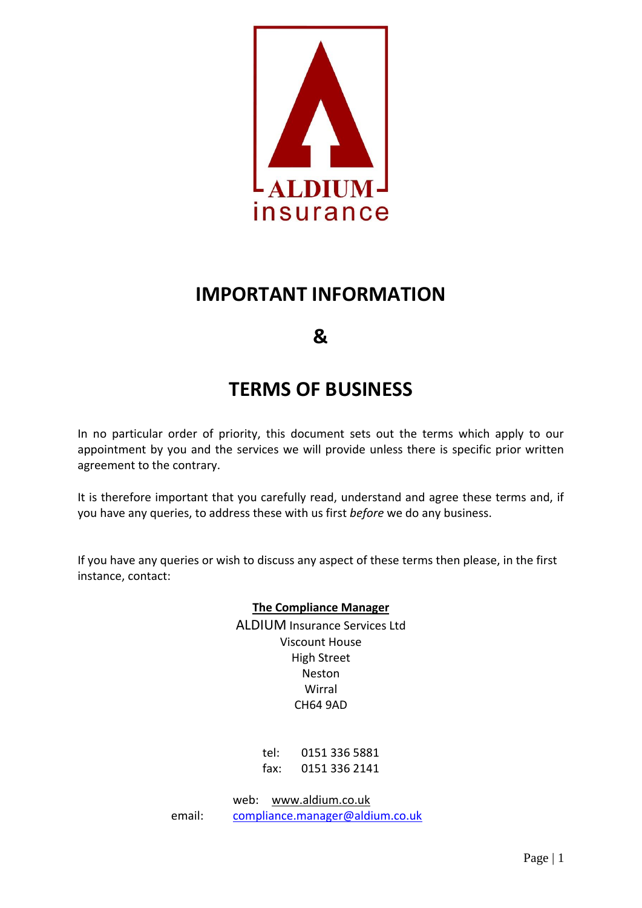

## **IMPORTANT INFORMATION**

### **&**

# **TERMS OF BUSINESS**

In no particular order of priority, this document sets out the terms which apply to our appointment by you and the services we will provide unless there is specific prior written agreement to the contrary.

It is therefore important that you carefully read, understand and agree these terms and, if you have any queries, to address these with us first *before* we do any business.

If you have any queries or wish to discuss any aspect of these terms then please, in the first instance, contact:

### **The Compliance Manager**

ALDIUM Insurance Services Ltd Viscount House High Street Neston Wirral CH64 9AD

> tel: 0151 336 5881 fax: 0151 336 2141

web: [www.aldium.co.uk](http://www.aldium.co.uk/) email: [compliance.manager@aldium.co.uk](mailto:compliance.manager@aldium.co.uk)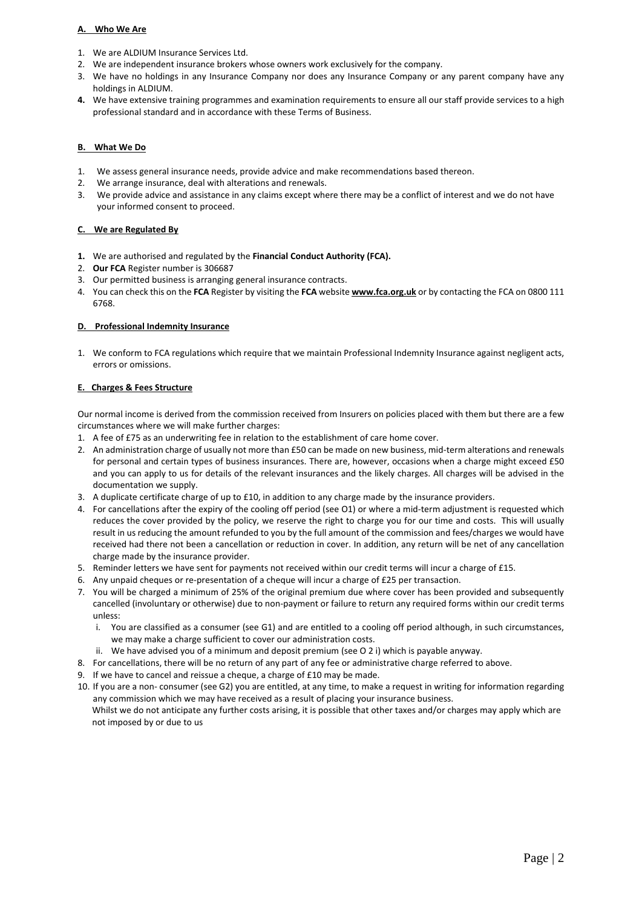#### **A. Who We Are**

- 1. We are ALDIUM Insurance Services Ltd.
- 2. We are independent insurance brokers whose owners work exclusively for the company.
- 3. We have no holdings in any Insurance Company nor does any Insurance Company or any parent company have any holdings in ALDIUM.
- **4.** We have extensive training programmes and examination requirements to ensure all our staff provide services to a high professional standard and in accordance with these Terms of Business.

#### **B. What We Do**

- 1. We assess general insurance needs, provide advice and make recommendations based thereon.
- 2. We arrange insurance, deal with alterations and renewals.
- 3. We provide advice and assistance in any claims except where there may be a conflict of interest and we do not have your informed consent to proceed.

#### **C. We are Regulated By**

- **1.** We are authorised and regulated by the **Financial Conduct Authority (FCA).**
- 2. **Our FCA** Register number is 306687
- 3. Our permitted business is arranging general insurance contracts.
- 4. You can check this on the **FCA** Register by visiting the **FCA** website **[www.fca.org.uk](http://www.fca.org.uk/)** or by contacting the FCA on 0800 111 6768.

#### **D. Professional Indemnity Insurance**

1. We conform to FCA regulations which require that we maintain Professional Indemnity Insurance against negligent acts, errors or omissions.

#### **E. Charges & Fees Structure**

Our normal income is derived from the commission received from Insurers on policies placed with them but there are a few circumstances where we will make further charges:

- 1. A fee of £75 as an underwriting fee in relation to the establishment of care home cover.
- 2. An administration charge of usually not more than £50 can be made on new business, mid-term alterations and renewals for personal and certain types of business insurances. There are, however, occasions when a charge might exceed £50 and you can apply to us for details of the relevant insurances and the likely charges. All charges will be advised in the documentation we supply.
- 3. A duplicate certificate charge of up to £10, in addition to any charge made by the insurance providers.
- 4. For cancellations after the expiry of the cooling off period (see O1) or where a mid-term adjustment is requested which reduces the cover provided by the policy, we reserve the right to charge you for our time and costs. This will usually result in us reducing the amount refunded to you by the full amount of the commission and fees/charges we would have received had there not been a cancellation or reduction in cover. In addition, any return will be net of any cancellation charge made by the insurance provider.
- 5. Reminder letters we have sent for payments not received within our credit terms will incur a charge of £15.
- 6. Any unpaid cheques or re-presentation of a cheque will incur a charge of £25 per transaction.
- 7. You will be charged a minimum of 25% of the original premium due where cover has been provided and subsequently cancelled (involuntary or otherwise) due to non-payment or failure to return any required forms within our credit terms unless:
	- i. You are classified as a consumer (see G1) and are entitled to a cooling off period although, in such circumstances, we may make a charge sufficient to cover our administration costs.
	- ii. We have advised you of a minimum and deposit premium (see O 2 i) which is payable anyway.
- 8. For cancellations, there will be no return of any part of any fee or administrative charge referred to above.
- 9. If we have to cancel and reissue a cheque, a charge of £10 may be made.
- 10. If you are a non- consumer (see G2) you are entitled, at any time, to make a request in writing for information regarding any commission which we may have received as a result of placing your insurance business. Whilst we do not anticipate any further costs arising, it is possible that other taxes and/or charges may apply which are not imposed by or due to us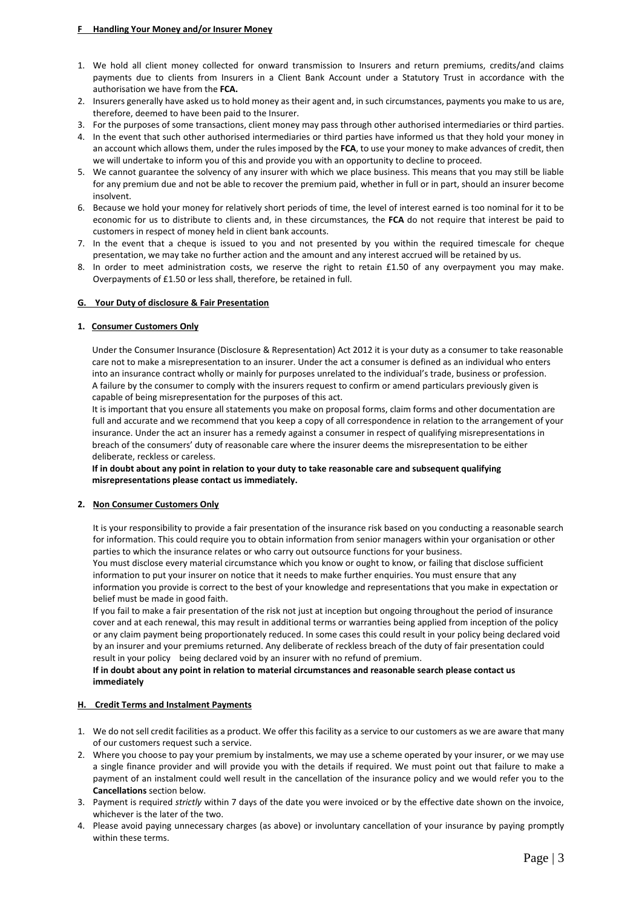- 1. We hold all client money collected for onward transmission to Insurers and return premiums, credits/and claims payments due to clients from Insurers in a Client Bank Account under a Statutory Trust in accordance with the authorisation we have from the **FCA.**
- 2. Insurers generally have asked us to hold money as their agent and, in such circumstances, payments you make to us are, therefore, deemed to have been paid to the Insurer.
- 3. For the purposes of some transactions, client money may pass through other authorised intermediaries or third parties.
- 4. In the event that such other authorised intermediaries or third parties have informed us that they hold your money in an account which allows them, under the rules imposed by the **FCA**, to use your money to make advances of credit, then we will undertake to inform you of this and provide you with an opportunity to decline to proceed.
- 5. We cannot guarantee the solvency of any insurer with which we place business. This means that you may still be liable for any premium due and not be able to recover the premium paid, whether in full or in part, should an insurer become insolvent.
- 6. Because we hold your money for relatively short periods of time, the level of interest earned is too nominal for it to be economic for us to distribute to clients and, in these circumstances*,* the **FCA** do not require that interest be paid to customers in respect of money held in client bank accounts.
- 7. In the event that a cheque is issued to you and not presented by you within the required timescale for cheque presentation, we may take no further action and the amount and any interest accrued will be retained by us.
- 8. In order to meet administration costs, we reserve the right to retain £1.50 of any overpayment you may make. Overpayments of £1.50 or less shall, therefore, be retained in full.

#### **G. Your Duty of disclosure & Fair Presentation**

#### **1. Consumer Customers Only**

Under the Consumer Insurance (Disclosure & Representation) Act 2012 it is your duty as a consumer to take reasonable care not to make a misrepresentation to an insurer. Under the act a consumer is defined as an individual who enters into an insurance contract wholly or mainly for purposes unrelated to the individual's trade, business or profession. A failure by the consumer to comply with the insurers request to confirm or amend particulars previously given is capable of being misrepresentation for the purposes of this act.

It is important that you ensure all statements you make on proposal forms, claim forms and other documentation are full and accurate and we recommend that you keep a copy of all correspondence in relation to the arrangement of your insurance. Under the act an insurer has a remedy against a consumer in respect of qualifying misrepresentations in breach of the consumers' duty of reasonable care where the insurer deems the misrepresentation to be either deliberate, reckless or careless.

#### **If in doubt about any point in relation to your duty to take reasonable care and subsequent qualifying misrepresentations please contact us immediately.**

#### **2. Non Consumer Customers Only**

It is your responsibility to provide a fair presentation of the insurance risk based on you conducting a reasonable search for information. This could require you to obtain information from senior managers within your organisation or other parties to which the insurance relates or who carry out outsource functions for your business.

You must disclose every material circumstance which you know or ought to know, or failing that disclose sufficient information to put your insurer on notice that it needs to make further enquiries. You must ensure that any information you provide is correct to the best of your knowledge and representations that you make in expectation or belief must be made in good faith.

If you fail to make a fair presentation of the risk not just at inception but ongoing throughout the period of insurance cover and at each renewal, this may result in additional terms or warranties being applied from inception of the policy or any claim payment being proportionately reduced. In some cases this could result in your policy being declared void by an insurer and your premiums returned. Any deliberate of reckless breach of the duty of fair presentation could result in your policy being declared void by an insurer with no refund of premium.

#### **If in doubt about any point in relation to material circumstances and reasonable search please contact us immediately**

#### **H. Credit Terms and Instalment Payments**

- 1. We do not sell credit facilities as a product. We offer this facility as a service to our customers as we are aware that many of our customers request such a service.
- 2. Where you choose to pay your premium by instalments, we may use a scheme operated by your insurer, or we may use a single finance provider and will provide you with the details if required. We must point out that failure to make a payment of an instalment could well result in the cancellation of the insurance policy and we would refer you to the **Cancellations** section below.
- 3. Payment is required *strictly* within 7 days of the date you were invoiced or by the effective date shown on the invoice, whichever is the later of the two.
- 4. Please avoid paying unnecessary charges (as above) or involuntary cancellation of your insurance by paying promptly within these terms.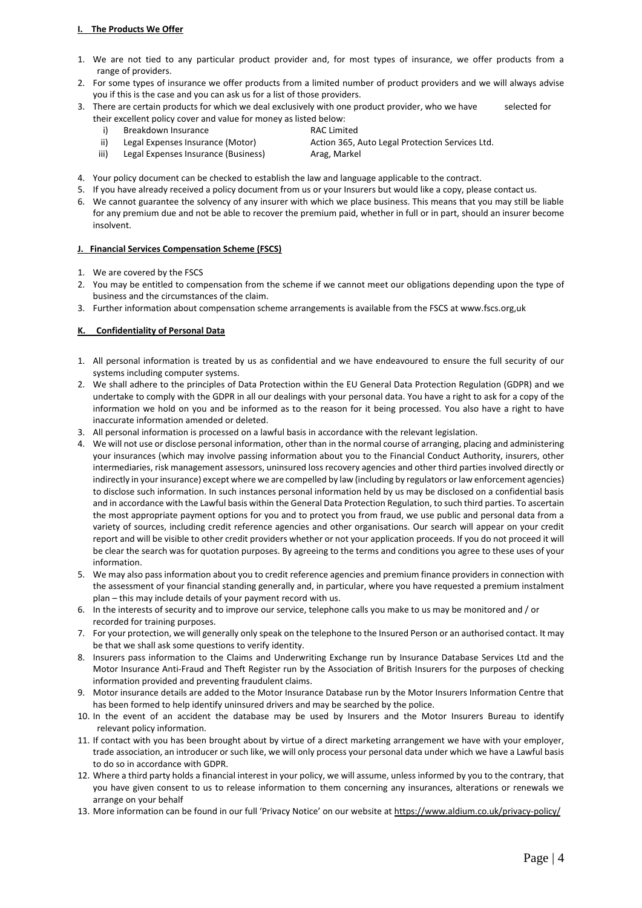#### **I. The Products We Offer**

- 1. We are not tied to any particular product provider and, for most types of insurance, we offer products from a range of providers.
- 2. For some types of insurance we offer products from a limited number of product providers and we will always advise you if this is the case and you can ask us for a list of those providers.
- 3. There are certain products for which we deal exclusively with one product provider, who we have selected for their excellent policy cover and value for money as listed below:
	- i) Breakdown Insurance RAC Limited
		-
	- ii) Legal Expenses Insurance (Motor) Action 365, Auto Legal Protection Services Ltd.
	- iii) Legal Expenses Insurance (Business) Arag, Markel
- 
- 4. Your policy document can be checked to establish the law and language applicable to the contract.
- 5. If you have already received a policy document from us or your Insurers but would like a copy, please contact us.
- 6. We cannot guarantee the solvency of any insurer with which we place business. This means that you may still be liable for any premium due and not be able to recover the premium paid, whether in full or in part, should an insurer become insolvent.

#### **J. Financial Services Compensation Scheme (FSCS)**

- 1. We are covered by the FSCS
- 2. You may be entitled to compensation from the scheme if we cannot meet our obligations depending upon the type of business and the circumstances of the claim.
- 3. Further information about compensation scheme arrangements is available from the FSCS at www.fscs.org,uk

#### **K. Confidentiality of Personal Data**

- 1. All personal information is treated by us as confidential and we have endeavoured to ensure the full security of our systems including computer systems.
- 2. We shall adhere to the principles of Data Protection within the EU General Data Protection Regulation (GDPR) and we undertake to comply with the GDPR in all our dealings with your personal data. You have a right to ask for a copy of the information we hold on you and be informed as to the reason for it being processed. You also have a right to have inaccurate information amended or deleted.
- 3. All personal information is processed on a lawful basis in accordance with the relevant legislation.
- 4. We will not use or disclose personal information, other than in the normal course of arranging, placing and administering your insurances (which may involve passing information about you to the Financial Conduct Authority, insurers, other intermediaries, risk management assessors, uninsured loss recovery agencies and other third parties involved directly or indirectly in your insurance) except where we are compelled by law (including by regulators or law enforcement agencies) to disclose such information. In such instances personal information held by us may be disclosed on a confidential basis and in accordance with the Lawful basis within the General Data Protection Regulation, to such third parties. To ascertain the most appropriate payment options for you and to protect you from fraud, we use public and personal data from a variety of sources, including credit reference agencies and other organisations. Our search will appear on your credit report and will be visible to other credit providers whether or not your application proceeds. If you do not proceed it will be clear the search was for quotation purposes. By agreeing to the terms and conditions you agree to these uses of your information.
- 5. We may also pass information about you to credit reference agencies and premium finance providers in connection with the assessment of your financial standing generally and, in particular, where you have requested a premium instalment plan – this may include details of your payment record with us.
- 6. In the interests of security and to improve our service, telephone calls you make to us may be monitored and / or recorded for training purposes.
- 7. For your protection, we will generally only speak on the telephone to the Insured Person or an authorised contact. It may be that we shall ask some questions to verify identity.
- 8. Insurers pass information to the Claims and Underwriting Exchange run by Insurance Database Services Ltd and the Motor Insurance Anti-Fraud and Theft Register run by the Association of British Insurers for the purposes of checking information provided and preventing fraudulent claims.
- 9. Motor insurance details are added to the Motor Insurance Database run by the Motor Insurers Information Centre that has been formed to help identify uninsured drivers and may be searched by the police.
- 10. In the event of an accident the database may be used by Insurers and the Motor Insurers Bureau to identify relevant policy information.
- 11. If contact with you has been brought about by virtue of a direct marketing arrangement we have with your employer, trade association, an introducer or such like, we will only process your personal data under which we have a Lawful basis to do so in accordance with GDPR.
- 12. Where a third party holds a financial interest in your policy, we will assume, unless informed by you to the contrary, that you have given consent to us to release information to them concerning any insurances, alterations or renewals we arrange on your behalf
- 13. More information can be found in our full 'Privacy Notice' on our website at <https://www.aldium.co.uk/privacy-policy/>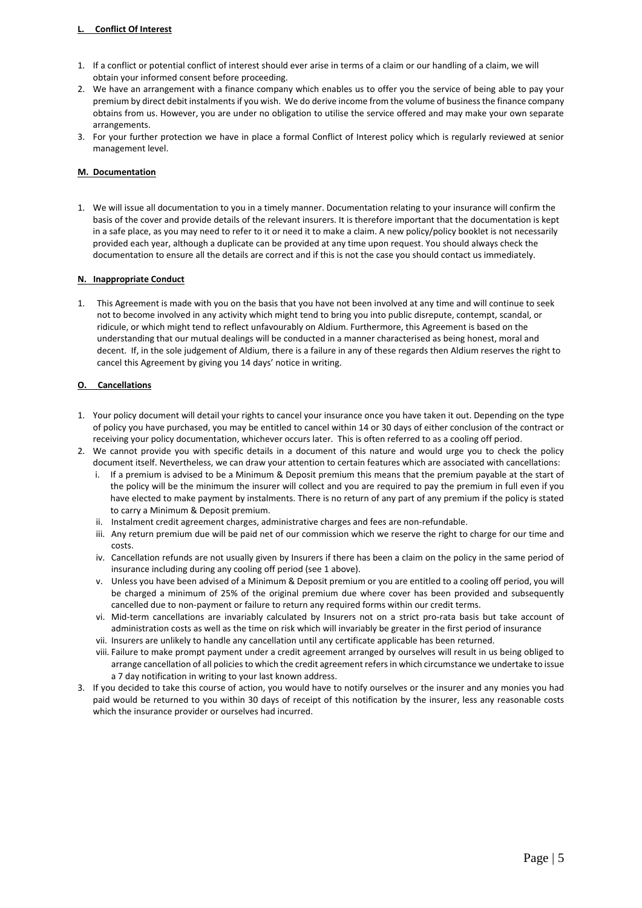#### **L. Conflict Of Interest**

- 1. If a conflict or potential conflict of interest should ever arise in terms of a claim or our handling of a claim, we will obtain your informed consent before proceeding.
- 2. We have an arrangement with a finance company which enables us to offer you the service of being able to pay your premium by direct debit instalments if you wish. We do derive income from the volume of business the finance company obtains from us. However, you are under no obligation to utilise the service offered and may make your own separate arrangements.
- 3. For your further protection we have in place a formal Conflict of Interest policy which is regularly reviewed at senior management level.

#### **M. Documentation**

1. We will issue all documentation to you in a timely manner. Documentation relating to your insurance will confirm the basis of the cover and provide details of the relevant insurers. It is therefore important that the documentation is kept in a safe place, as you may need to refer to it or need it to make a claim. A new policy/policy booklet is not necessarily provided each year, although a duplicate can be provided at any time upon request. You should always check the documentation to ensure all the details are correct and if this is not the case you should contact us immediately.

#### **N. Inappropriate Conduct**

1. This Agreement is made with you on the basis that you have not been involved at any time and will continue to seek not to become involved in any activity which might tend to bring you into public disrepute, contempt, scandal, or ridicule, or which might tend to reflect unfavourably on Aldium. Furthermore, this Agreement is based on the understanding that our mutual dealings will be conducted in a manner characterised as being honest, moral and decent. If, in the sole judgement of Aldium, there is a failure in any of these regards then Aldium reserves the right to cancel this Agreement by giving you 14 days' notice in writing.

#### **O. Cancellations**

- 1. Your policy document will detail your rights to cancel your insurance once you have taken it out. Depending on the type of policy you have purchased, you may be entitled to cancel within 14 or 30 days of either conclusion of the contract or receiving your policy documentation, whichever occurs later. This is often referred to as a cooling off period.
- 2. We cannot provide you with specific details in a document of this nature and would urge you to check the policy document itself. Nevertheless, we can draw your attention to certain features which are associated with cancellations:
	- i. If a premium is advised to be a Minimum & Deposit premium this means that the premium payable at the start of the policy will be the minimum the insurer will collect and you are required to pay the premium in full even if you have elected to make payment by instalments. There is no return of any part of any premium if the policy is stated to carry a Minimum & Deposit premium.
	- ii. Instalment credit agreement charges, administrative charges and fees are non-refundable.
	- iii. Any return premium due will be paid net of our commission which we reserve the right to charge for our time and costs.
	- iv. Cancellation refunds are not usually given by Insurers if there has been a claim on the policy in the same period of insurance including during any cooling off period (see 1 above).
	- v. Unless you have been advised of a Minimum & Deposit premium or you are entitled to a cooling off period, you will be charged a minimum of 25% of the original premium due where cover has been provided and subsequently cancelled due to non-payment or failure to return any required forms within our credit terms.
	- vi. Mid-term cancellations are invariably calculated by Insurers not on a strict pro-rata basis but take account of administration costs as well as the time on risk which will invariably be greater in the first period of insurance
	- vii. Insurers are unlikely to handle any cancellation until any certificate applicable has been returned.
	- viii. Failure to make prompt payment under a credit agreement arranged by ourselves will result in us being obliged to arrange cancellation of all policies to which the credit agreement refers in which circumstance we undertake to issue a 7 day notification in writing to your last known address.
- 3. If you decided to take this course of action, you would have to notify ourselves or the insurer and any monies you had paid would be returned to you within 30 days of receipt of this notification by the insurer, less any reasonable costs which the insurance provider or ourselves had incurred.